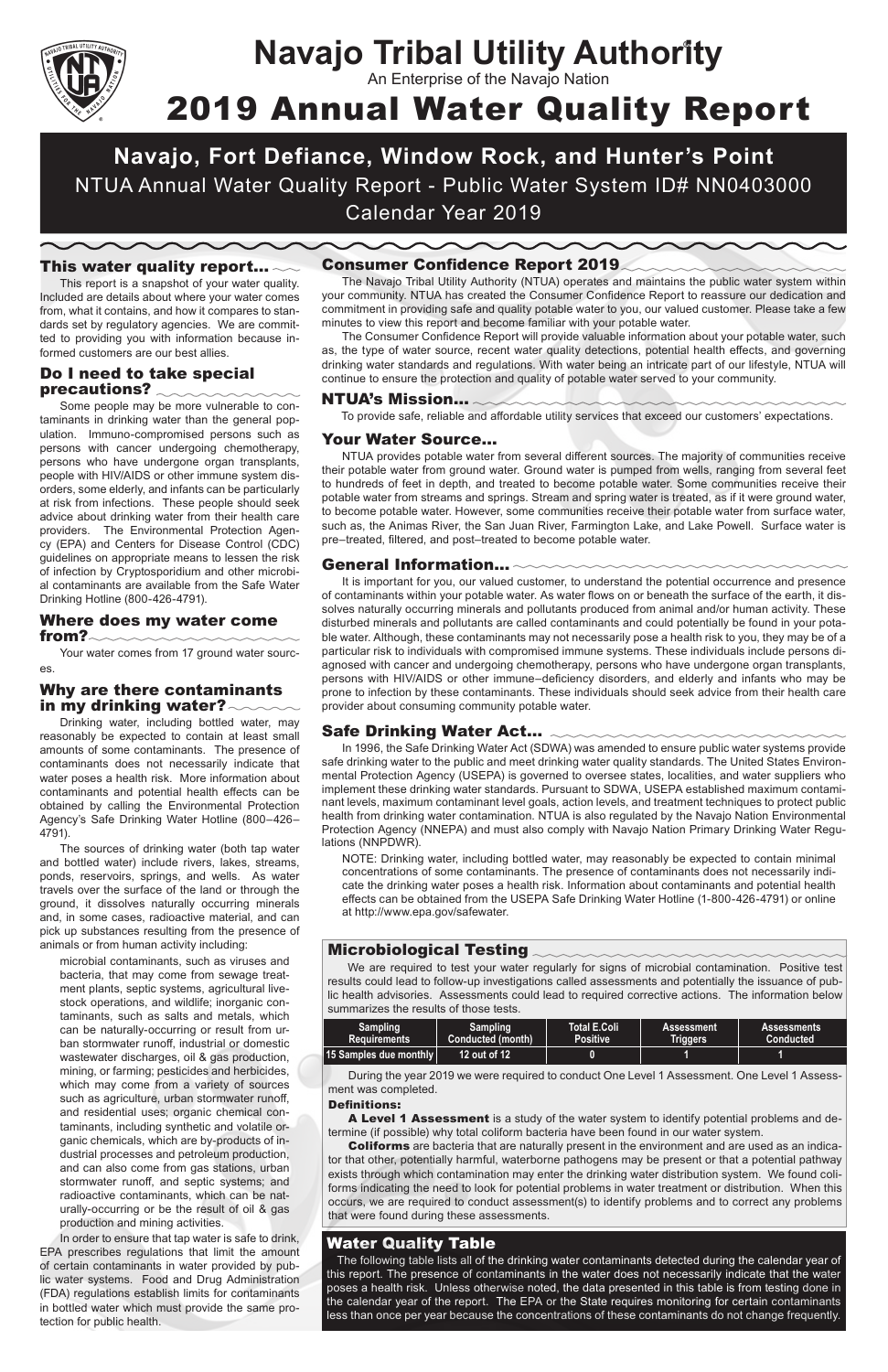# Consumer Confidence Report 2019

The Navajo Tribal Utility Authority (NTUA) operates and maintains the public water system within your community. NTUA has created the Consumer Confidence Report to reassure our dedication and commitment in providing safe and quality potable water to you, our valued customer. Please take a few minutes to view this report and become familiar with your potable water.

The Consumer Confidence Report will provide valuable information about your potable water, such as, the type of water source, recent water quality detections, potential health effects, and governing drinking water standards and regulations. With water being an intricate part of our lifestyle, NTUA will continue to ensure the protection and quality of potable water served to your community.

# **Navajo, Fort Defiance, Window Rock, and Hunter's Point** NTUA Annual Water Quality Report - Public Water System ID# NN0403000 Calendar Year 2019

#### This water quality report...  $\sim\sim$

# 2019 Annual Water Quality Report



# **Navajo Tribal Utility Authority** ®

An Enterprise of the Navajo Nation

#### Where does my water come from? $\sim$

#### Why are there contaminants in my drinking water?  $\sim\sim\sim$

This report is a snapshot of your water quality. Included are details about where your water comes from, what it contains, and how it compares to standards set by regulatory agencies. We are committed to providing you with information because informed customers are our best allies.

#### Do I need to take special precautions?

Some people may be more vulnerable to contaminants in drinking water than the general population. Immuno-compromised persons such as persons with cancer undergoing chemotherapy, persons who have undergone organ transplants, people with HIV/AIDS or other immune system disorders, some elderly, and infants can be particularly at risk from infections. These people should seek advice about drinking water from their health care providers. The Environmental Protection Agency (EPA) and Centers for Disease Control (CDC) guidelines on appropriate means to lessen the risk of infection by Cryptosporidium and other microbial contaminants are available from the Safe Water Drinking Hotline (800-426-4791).

Your water comes from 17 ground water sources.

Drinking water, including bottled water, may reasonably be expected to contain at least small amounts of some contaminants. The presence of contaminants does not necessarily indicate that water poses a health risk. More information about contaminants and potential health effects can be obtained by calling the Environmental Protection Agency's Safe Drinking Water Hotline (800–426– 4791).

The sources of drinking water (both tap water and bottled water) include rivers, lakes, streams, ponds, reservoirs, springs, and wells. As water travels over the surface of the land or through the ground, it dissolves naturally occurring minerals and, in some cases, radioactive material, and can pick up substances resulting from the presence of animals or from human activity including:

microbial contaminants, such as viruses and bacteria, that may come from sewage treatment plants, septic systems, agricultural livestock operations, and wildlife; inorganic con-

taminants, such as salts and metals, which can be naturally-occurring or result from urban stormwater runoff, industrial or domestic wastewater discharges, oil & gas production, mining, or farming; pesticides and herbicides, which may come from a variety of sources such as agriculture, urban stormwater runoff, and residential uses; organic chemical contaminants, including synthetic and volatile organic chemicals, which are by-products of industrial processes and petroleum production, and can also come from gas stations, urban stormwater runoff, and septic systems; and radioactive contaminants, which can be naturally-occurring or be the result of oil & gas production and mining activities.

In order to ensure that tap water is safe to drink, EPA prescribes regulations that limit the amount of certain contaminants in water provided by public water systems. Food and Drug Administration (FDA) regulations establish limits for contaminants in bottled water which must provide the same protection for public health.

A Level 1 Assessment is a study of the water system to identify potential problems and determine (if possible) why total coliform bacteria have been found in our water system.

#### Your Water Source…

**Coliforms** are bacteria that are naturally present in the environment and are used as an indicator that other, potentially harmful, waterborne pathogens may be present or that a potential pathway exists through which contamination may enter the drinking water distribution system. We found coliforms indicating the need to look for potential problems in water treatment or distribution. When this occurs, we are required to conduct assessment(s) to identify problems and to correct any problems that were found during these assessments.

NTUA provides potable water from several different sources. The majority of communities receive their potable water from ground water. Ground water is pumped from wells, ranging from several feet to hundreds of feet in depth, and treated to become potable water. Some communities receive their potable water from streams and springs. Stream and spring water is treated, as if it were ground water, to become potable water. However, some communities receive their potable water from surface water, such as, the Animas River, the San Juan River, Farmington Lake, and Lake Powell. Surface water is pre–treated, filtered, and post–treated to become potable water.

#### General Information... ~~~~~~~~~~

It is important for you, our valued customer, to understand the potential occurrence and presence of contaminants within your potable water. As water flows on or beneath the surface of the earth, it dissolves naturally occurring minerals and pollutants produced from animal and/or human activity. These disturbed minerals and pollutants are called contaminants and could potentially be found in your potable water. Although, these contaminants may not necessarily pose a health risk to you, they may be of a particular risk to individuals with compromised immune systems. These individuals include persons diagnosed with cancer and undergoing chemotherapy, persons who have undergone organ transplants, persons with HIV/AIDS or other immune–deficiency disorders, and elderly and infants who may be prone to infection by these contaminants. These individuals should seek advice from their health care provider about consuming community potable water.

# Safe Drinking Water Act... ~~~~

In 1996, the Safe Drinking Water Act (SDWA) was amended to ensure public water systems provide safe drinking water to the public and meet drinking water quality standards. The United States Environmental Protection Agency (USEPA) is governed to oversee states, localities, and water suppliers who implement these drinking water standards. Pursuant to SDWA, USEPA established maximum contaminant levels, maximum contaminant level goals, action levels, and treatment techniques to protect public health from drinking water contamination. NTUA is also regulated by the Navajo Nation Environmental Protection Agency (NNEPA) and must also comply with Navajo Nation Primary Drinking Water Regulations (NNPDWR).

NOTE: Drinking water, including bottled water, may reasonably be expected to contain minimal concentrations of some contaminants. The presence of contaminants does not necessarily indicate the drinking water poses a health risk. Information about contaminants and potential health effects can be obtained from the USEPA Safe Drinking Water Hotline (1-800-426-4791) or online at http://www.epa.gov/safewater.

# Microbiological Testing **comprehensive**

#### Water Quality Table

The following table lists all of the drinking water contaminants detected during the calendar year of this report. The presence of contaminants in the water does not necessarily indicate that the water poses a health risk. Unless otherwise noted, the data presented in this table is from testing done in the calendar year of the report. The EPA or the State requires monitoring for certain contaminants less than once per year because the concentrations of these contaminants do not change frequently.

We are required to test your water regularly for signs of microbial contamination. Positive test results could lead to follow-up investigations called assessments and potentially the issuance of public health advisories. Assessments could lead to required corrective actions. The information below summarizes the results of those tests.

| Sampling               | Sampling          | <b>Total E.Coli</b> | Assessment      | <b>Assessments</b> |
|------------------------|-------------------|---------------------|-----------------|--------------------|
| Requirements           | Conducted (month) | <b>Positive</b>     | <b>Triggers</b> | <b>Conducted</b>   |
| 15 Samples due monthly | 12 out of 12      |                     |                 |                    |

#### NTUA's Mission…

To provide safe, reliable and affordable utility services that exceed our customers' expectations.

During the year 2019 we were required to conduct One Level 1 Assessment. One Level 1 Assessment was completed.

#### Definitions: